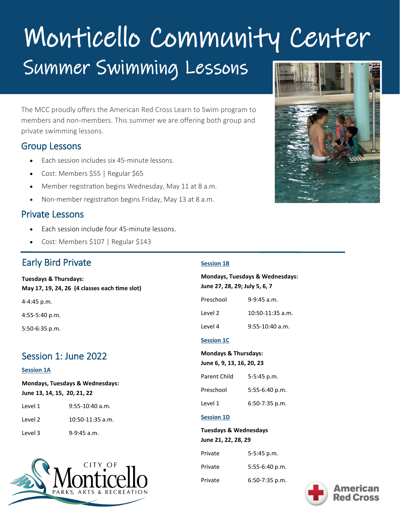# Monticello Community Center Summer Swimming Lessons

The MCC proudly offers the American Red Cross Learn to Swim program to members and non-members. This summer we are offering both group and private swimming lessons.

## Group Lessons

- Each session includes six 45-minute lessons.
- Cost: Members \$55 | Regular \$65
- Member registration begins Wednesday, May 11 at 8 a.m.
- Non-member registration begins Friday, May 13 at 8 a.m.

## Private Lessons

- Each session include four 45-minute lessons.
- Cost: Members \$107 | Regular \$143

# Early Bird Private

#### **Tuesdays & Thursdays: May 17, 19, 24, 26 (4 classes each time slot)**

4-4:45 p.m.

4:55-5:40 p.m.

5:50-6:35 p.m.

# Session 1: June 2022

#### **Session 1A**

**Mondays, Tuesdays & Wednesdays: June 13, 14, 15, 20, 21, 22**

| Level 1 | $9:55-10:40$ a.m.  |
|---------|--------------------|
| Level 2 | $10:50-11:35$ a.m. |
| Level 3 | $9-9:45$ a.m.      |



#### **Session 1B**

l

**Mondays, Tuesdays & Wednesdays: June 27, 28, 29; July 5, 6, 7** Preschool 9-9:45 a.m.

| Level 2 | $10:50-11:35$ a.m. |
|---------|--------------------|
|         |                    |

Level 4 9:55-10:40 a.m.

#### **Session 1C**

#### **Mondays & Thursdays:**

Preschool 5:55-6:40 p.m.

Level 1 6:50-7:35 p.m.

#### **Session 1D**

**Tuesdays & Wednesdays June 21, 22, 28, 29** 

| Private | $5 - 5:45$ p.m.  |  |
|---------|------------------|--|
| Private | $5:55-6:40 p.m.$ |  |
| Private | $6:50-7:35$ p.m. |  |



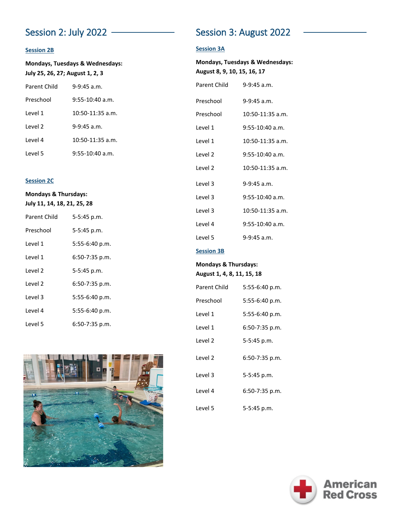#### **Session 2B**

**Mondays, Tuesdays & Wednesdays: July 25, 26, 27; August 1, 2, 3**

| <b>Parent Child</b> | $9 - 9.45$ a m     |
|---------------------|--------------------|
| Preschool           | 9:55-10:40 a.m.    |
| l evel 1            | $10:50-11:35$ a.m. |
| Level 2             | 9-9:45 a.m.        |
| Level 4             | $10:50-11:35$ a.m. |
| Level 5             | $9:55-10:40$ a.m.  |

#### **Session 2C**

#### **Mondays & Thursdays: July 11, 14, 18, 21, 25, 28**

| Parent Child | 5-5:45 p.m.      |
|--------------|------------------|
| Preschool    | 5-5:45 p.m.      |
| l evel 1     | $5:55-6:40 p.m.$ |
| Level 1      | 6:50-7:35 p.m.   |
| Level 2      | 5-5:45 p.m.      |
| l evel 2     | 6:50-7:35 p.m.   |
| Level 3      | 5:55-6:40 p.m.   |
| l evel 4     | $5:55-6:40 p.m.$ |
| l evel 5     | 6:50-7:35 p.m.   |



# Session 2: July 2022 **Session 3: August 2022**

#### **Session 3A**

| <b>Mondays, Tuesdays &amp; Wednesdays:</b><br>August 8, 9, 10, 15, 16, 17 |                    |  |
|---------------------------------------------------------------------------|--------------------|--|
| Parent Child                                                              | $9-9:45$ a.m.      |  |
| Preschool                                                                 | $9-9:45$ a.m.      |  |
| Preschool                                                                 | $10:50-11:35$ a.m. |  |
| Level 1                                                                   | $9:55-10:40$ a.m.  |  |
| Level 1                                                                   | $10:50-11:35$ a.m. |  |
| Level 2                                                                   | $9:55-10:40$ a.m.  |  |
| Level <sub>2</sub>                                                        | $10:50-11:35$ a.m. |  |
| Level 3                                                                   | $9-9:45$ a.m.      |  |
| Level 3                                                                   | $9:55-10:40$ a.m.  |  |
| Level 3                                                                   | 10:50-11:35 a.m.   |  |
| Level 4                                                                   | $9:55-10:40$ a.m.  |  |
| Level 5                                                                   | $9-9:45$ a.m.      |  |
| <b>Session 3B</b>                                                         |                    |  |

#### **Mondays & Thursdays: August 1, 4, 8, 11, 15, 18**

| Parent Child       | 5:55-6:40 p.m. |
|--------------------|----------------|
| Preschool          | 5:55-6:40 p.m. |
| Level 1            | 5:55-6:40 p.m. |
| Level 1            | 6:50-7:35 p.m. |
| Level <sub>2</sub> | 5-5:45 p.m.    |
| Level <sub>2</sub> | 6:50-7:35 p.m. |
| Level 3            | 5-5:45 p.m.    |
| Level 4            | 6:50-7:35 p.m. |
| Level 5            | 5-5:45 p.m.    |

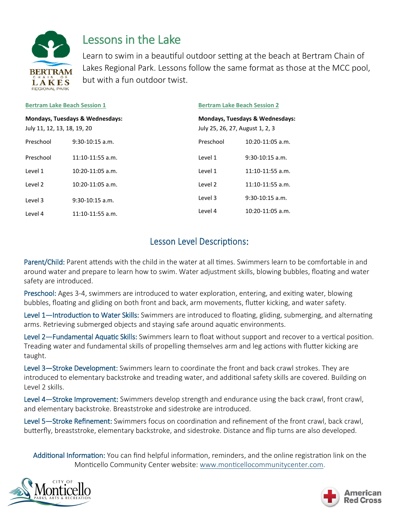

# Lessons in the Lake

Learn to swim in a beautiful outdoor setting at the beach at Bertram Chain of Lakes Regional Park. Lessons follow the same format as those at the MCC pool, but with a fun outdoor twist.

| <b>Bertram Lake Beach Session 1</b><br><b>Mondays, Tuesdays &amp; Wednesdays:</b><br>July 11, 12, 13, 18, 19, 20 |                    |           | <b>Bertram Lake Beach Session 2</b><br><b>Mondays, Tuesdays &amp; Wednesdays:</b><br>July 25, 26, 27, August 1, 2, 3 |  |
|------------------------------------------------------------------------------------------------------------------|--------------------|-----------|----------------------------------------------------------------------------------------------------------------------|--|
|                                                                                                                  |                    |           |                                                                                                                      |  |
| Preschool                                                                                                        | $9:30-10:15$ a.m.  | Preschool | $10:20-11:05$ a.m.                                                                                                   |  |
| Preschool                                                                                                        | $11:10-11:55$ a.m. | Level 1   | $9:30-10:15$ a.m.                                                                                                    |  |
| Level 1                                                                                                          | $10:20-11:05$ a.m. | Level 1   | $11:10-11:55$ a.m.                                                                                                   |  |
| Level <sub>2</sub>                                                                                               | $10:20-11:05$ a.m. | Level 2   | $11:10-11:55$ a.m.                                                                                                   |  |
| Level 3                                                                                                          | $9:30-10:15$ a.m.  | Level 3   | $9:30-10:15$ a.m.                                                                                                    |  |
| Level 4                                                                                                          | $11:10-11:55$ a.m. | Level 4   | $10:20-11:05$ a.m.                                                                                                   |  |

# **Lesson Level Descriptions:**

Parent/Child: Parent attends with the child in the water at all times. Swimmers learn to be comfortable in and around water and prepare to learn how to swim. Water adjustment skills, blowing bubbles, floating and water safety are introduced.

Preschool: Ages 3-4, swimmers are introduced to water exploration, entering, and exiting water, blowing bubbles, floating and gliding on both front and back, arm movements, flutter kicking, and water safety.

Level 1—Introduction to Water Skills: Swimmers are introduced to floating, gliding, submerging, and alternating arms. Retrieving submerged objects and staying safe around aquatic environments.

Level 2—Fundamental Aquatic Skills: Swimmers learn to float without support and recover to a vertical position. Treading water and fundamental skills of propelling themselves arm and leg actions with flutter kicking are taught.

Level 3—Stroke Development: Swimmers learn to coordinate the front and back crawl strokes. They are introduced to elementary backstroke and treading water, and additional safety skills are covered. Building on Level 2 skills.

Level 4—Stroke Improvement: Swimmers develop strength and endurance using the back crawl, front crawl, and elementary backstroke. Breaststroke and sidestroke are introduced.

Level 5—Stroke Refinement: Swimmers focus on coordination and refinement of the front crawl, back crawl, butterfly, breaststroke, elementary backstroke, and sidestroke. Distance and flip turns are also developed.

Additional Information: You can find helpful information, reminders, and the online registration link on the Monticello Community Center website: [www.monticellocommunitycenter.com.](http://www.monticellocommunitycenter.com)